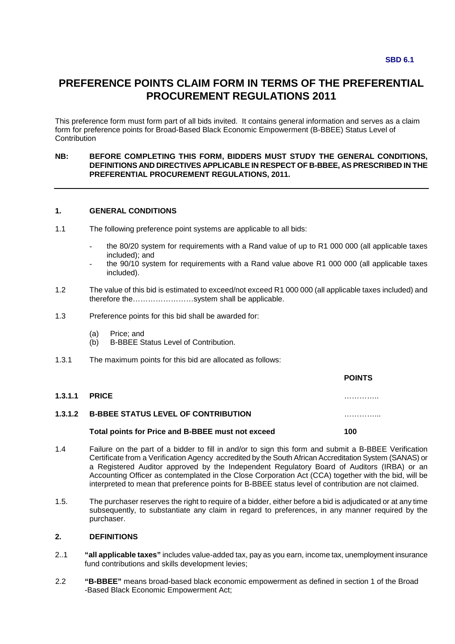# **PREFERENCE POINTS CLAIM FORM IN TERMS OF THE PREFERENTIAL PROCUREMENT REGULATIONS 2011**

This preference form must form part of all bids invited. It contains general information and serves as a claim form for preference points for Broad-Based Black Economic Empowerment (B-BBEE) Status Level of **Contribution** 

#### **NB: BEFORE COMPLETING THIS FORM, BIDDERS MUST STUDY THE GENERAL CONDITIONS, DEFINITIONS AND DIRECTIVES APPLICABLE IN RESPECT OF B-BBEE, AS PRESCRIBED IN THE PREFERENTIAL PROCUREMENT REGULATIONS, 2011.**

#### **1. GENERAL CONDITIONS**

- 1.1 The following preference point systems are applicable to all bids:
	- the 80/20 system for requirements with a Rand value of up to R1 000 000 (all applicable taxes included); and
	- the 90/10 system for requirements with a Rand value above R1 000 000 (all applicable taxes included).
- 1.2 The value of this bid is estimated to exceed/not exceed R1 000 000 (all applicable taxes included) and therefore the……………………system shall be applicable.
- 1.3 Preference points for this bid shall be awarded for:
	- (a) Price; and
	- (b) B-BBEE Status Level of Contribution.
- 1.3.1 The maximum points for this bid are allocated as follows:

|                                                    | <b>POINTS</b> |
|----------------------------------------------------|---------------|
| <b>1.3.1.1 PRICE</b>                               | .             |
| <b>1.3.1.2 B-BBEE STATUS LEVEL OF CONTRIBUTION</b> | .             |
| Total points for Price and B-BBEE must not exceed  | 100           |

- 1.4 Failure on the part of a bidder to fill in and/or to sign this form and submit a B-BBEE Verification Certificate from a Verification Agency accredited by the South African Accreditation System (SANAS) or a Registered Auditor approved by the Independent Regulatory Board of Auditors (IRBA) or an Accounting Officer as contemplated in the Close Corporation Act (CCA) together with the bid, will be interpreted to mean that preference points for B-BBEE status level of contribution are not claimed.
- 1.5. The purchaser reserves the right to require of a bidder, either before a bid is adjudicated or at any time subsequently, to substantiate any claim in regard to preferences, in any manner required by the purchaser.

#### **2. DEFINITIONS**

- 2..1 **"all applicable taxes"** includes value-added tax, pay as you earn, income tax, unemployment insurance fund contributions and skills development levies;
- 2.2 **"B-BBEE"** means broad-based black economic empowerment as defined in section 1 of the Broad -Based Black Economic Empowerment Act;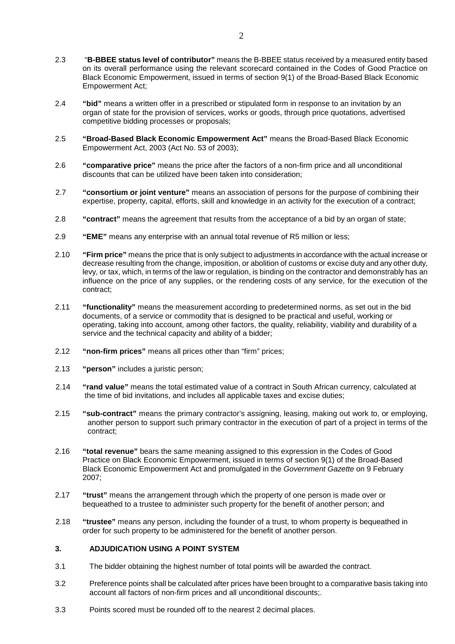- 2.3 "**B-BBEE status level of contributor"** means the B-BBEE status received by a measured entity based on its overall performance using the relevant scorecard contained in the Codes of Good Practice on Black Economic Empowerment, issued in terms of section 9(1) of the Broad-Based Black Economic Empowerment Act;
- 2.4 **"bid"** means a written offer in a prescribed or stipulated form in response to an invitation by an organ of state for the provision of services, works or goods, through price quotations, advertised competitive bidding processes or proposals;
- 2.5 **"Broad-Based Black Economic Empowerment Act"** means the Broad-Based Black Economic Empowerment Act, 2003 (Act No. 53 of 2003);
- 2.6 **"comparative price"** means the price after the factors of a non-firm price and all unconditional discounts that can be utilized have been taken into consideration;
- 2.7 **"consortium or joint venture"** means an association of persons for the purpose of combining their expertise, property, capital, efforts, skill and knowledge in an activity for the execution of a contract;
- 2.8 **"contract"** means the agreement that results from the acceptance of a bid by an organ of state;
- 2.9 **"EME"** means any enterprise with an annual total revenue of R5 million or less;
- 2.10 **"Firm price"** means the price that is only subject to adjustments in accordance with the actual increase or decrease resulting from the change, imposition, or abolition of customs or excise duty and any other duty, levy, or tax, which, in terms of the law or regulation, is binding on the contractor and demonstrably has an influence on the price of any supplies, or the rendering costs of any service, for the execution of the contract;
- 2.11 **"functionality"** means the measurement according to predetermined norms, as set out in the bid documents, of a service or commodity that is designed to be practical and useful, working or operating, taking into account, among other factors, the quality, reliability, viability and durability of a service and the technical capacity and ability of a bidder;
- 2.12 **"non-firm prices"** means all prices other than "firm" prices;
- 2.13 **"person"** includes a juristic person;
- 2.14 **"rand value"** means the total estimated value of a contract in South African currency, calculated at the time of bid invitations, and includes all applicable taxes and excise duties;
- 2.15 **"sub-contract"** means the primary contractor's assigning, leasing, making out work to, or employing, another person to support such primary contractor in the execution of part of a project in terms of the contract;
- 2.16 **"total revenue"** bears the same meaning assigned to this expression in the Codes of Good Practice on Black Economic Empowerment, issued in terms of section 9(1) of the Broad-Based Black Economic Empowerment Act and promulgated in the Government Gazette on 9 February 2007;
- 2.17 **"trust"** means the arrangement through which the property of one person is made over or bequeathed to a trustee to administer such property for the benefit of another person; and
- 2.18 **"trustee"** means any person, including the founder of a trust, to whom property is bequeathed in order for such property to be administered for the benefit of another person.

## **3. ADJUDICATION USING A POINT SYSTEM**

- 3.1 The bidder obtaining the highest number of total points will be awarded the contract.
- 3.2 Preference points shall be calculated after prices have been brought to a comparative basis taking into account all factors of non-firm prices and all unconditional discounts;.
- 3.3 Points scored must be rounded off to the nearest 2 decimal places.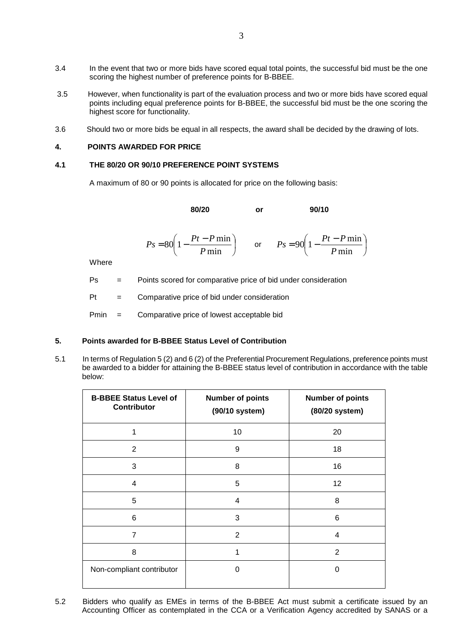- 3.4 In the event that two or more bids have scored equal total points, the successful bid must be the one scoring the highest number of preference points for B-BBEE.
- 3.5 However, when functionality is part of the evaluation process and two or more bids have scored equal points including equal preference points for B-BBEE, the successful bid must be the one scoring the highest score for functionality.
- 3.6 Should two or more bids be equal in all respects, the award shall be decided by the drawing of lots.

#### **4. POINTS AWARDED FOR PRICE**

#### **4.1 THE 80/20 OR 90/10 PREFERENCE POINT SYSTEMS**

A maximum of 80 or 90 points is allocated for price on the following basis:

**80/20** or 90/10

$$
Ps = 80 \left( 1 - \frac{Pt - P \min}{P \min} \right) \qquad \text{or} \qquad Ps = 90 \left( 1 - \frac{Pt - P \min}{P \min} \right)
$$

**Where** 

Ps = Points scored for comparative price of bid under consideration

 $Pt =$  Comparative price of bid under consideration

Pmin = Comparative price of lowest acceptable bid

#### **5. Points awarded for B-BBEE Status Level of Contribution**

5.1 In terms of Regulation 5 (2) and 6 (2) of the Preferential Procurement Regulations, preference points must be awarded to a bidder for attaining the B-BBEE status level of contribution in accordance with the table below:

| <b>B-BBEE Status Level of</b><br><b>Contributor</b> | <b>Number of points</b><br>(90/10 system) | <b>Number of points</b><br>(80/20 system) |
|-----------------------------------------------------|-------------------------------------------|-------------------------------------------|
| 1                                                   | 10                                        | 20                                        |
| $\overline{2}$                                      | 9                                         | 18                                        |
| 3                                                   | 8                                         | 16                                        |
| 4                                                   | 5                                         | 12                                        |
| 5                                                   | 4                                         | 8                                         |
| 6                                                   | 3                                         | 6                                         |
| 7                                                   | $\overline{2}$                            | 4                                         |
| 8                                                   | 1                                         | $\overline{2}$                            |
| Non-compliant contributor                           | 0                                         | 0                                         |

5.2 Bidders who qualify as EMEs in terms of the B-BBEE Act must submit a certificate issued by an Accounting Officer as contemplated in the CCA or a Verification Agency accredited by SANAS or a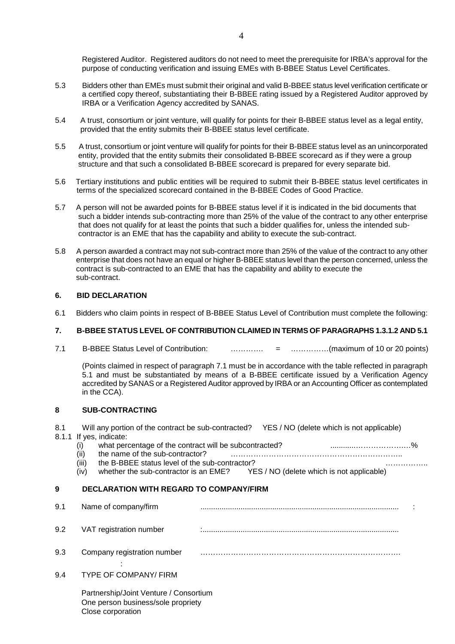- 5.3 Bidders other than EMEs must submit their original and valid B-BBEE status level verification certificate or a certified copy thereof, substantiating their B-BBEE rating issued by a Registered Auditor approved by IRBA or a Verification Agency accredited by SANAS.
- 5.4 A trust, consortium or joint venture, will qualify for points for their B-BBEE status level as a legal entity, provided that the entity submits their B-BBEE status level certificate.
- 5.5 A trust, consortium or joint venture will qualify for points for their B-BBEE status level as an unincorporated entity, provided that the entity submits their consolidated B-BBEE scorecard as if they were a group structure and that such a consolidated B-BBEE scorecard is prepared for every separate bid.
- 5.6 Tertiary institutions and public entities will be required to submit their B-BBEE status level certificates in terms of the specialized scorecard contained in the B-BBEE Codes of Good Practice.
- 5.7 A person will not be awarded points for B-BBEE status level if it is indicated in the bid documents that such a bidder intends sub-contracting more than 25% of the value of the contract to any other enterprise that does not qualify for at least the points that such a bidder qualifies for, unless the intended sub contractor is an EME that has the capability and ability to execute the sub-contract.
- 5.8 A person awarded a contract may not sub-contract more than 25% of the value of the contract to any other enterprise that does not have an equal or higher B-BBEE status level than the person concerned, unless the contract is sub-contracted to an EME that has the capability and ability to execute the sub-contract.

## **6. BID DECLARATION**

6.1 Bidders who claim points in respect of B-BBEE Status Level of Contribution must complete the following:

## **7. B-BBEE STATUS LEVEL OF CONTRIBUTION CLAIMED IN TERMS OF PARAGRAPHS 1.3.1.2 AND 5.1**

7.1 B-BBEE Status Level of Contribution: …………. = ……………(maximum of 10 or 20 points)

(Points claimed in respect of paragraph 7.1 must be in accordance with the table reflected in paragraph 5.1 and must be substantiated by means of a B-BBEE certificate issued by a Verification Agency accredited by SANAS or a Registered Auditor approved by IRBA or an Accounting Officer as contemplated in the CCA).

## **8 SUB-CONTRACTING**

8.1 Will any portion of the contract be sub-contracted? YES / NO (delete which is not applicable) 8.1.1 If yes, indicate:

|       | what percentage of the contract will be subcontracted? |                                           |  |
|-------|--------------------------------------------------------|-------------------------------------------|--|
|       | the name of the sub-contractor?                        |                                           |  |
| (iii) | the B-BBEE status level of the sub-contractor?         |                                           |  |
| (iv)  | whether the sub-contractor is an EME?                  | YES / NO (delete which is not applicable) |  |

## **9 DECLARATION WITH REGARD TO COMPANY/FIRM**

9.1 Name of company/firm .............................................................................................. : 9.2 VAT registration number : ............................................................................................. 9.3 Company registration number ……………………………………………………………………. : 100 m 9.4 TYPE OF COMPANY/ FIRM

 Partnership/Joint Venture / Consortium One person business/sole propriety Close corporation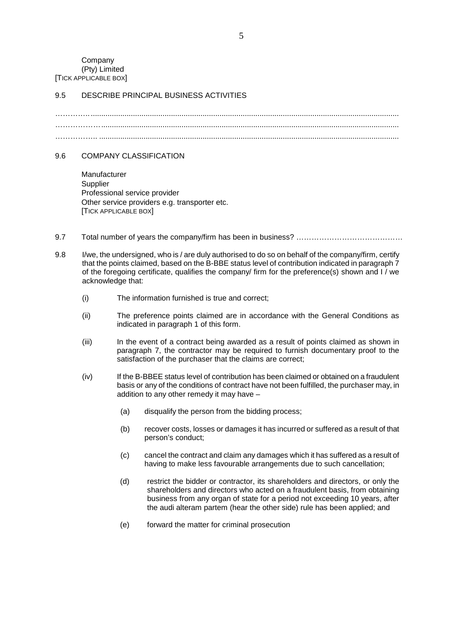Company (Pty) Limited [TICK APPLICABLE BOX]

## 9.5 DESCRIBE PRINCIPAL BUSINESS ACTIVITIES

………….. .................................................................................................................................................. ……………… ............................................................................................................................................. …………….. ..............................................................................................................................................

#### 9.6 COMPANY CLASSIFICATION

 Manufacturer **Supplier**  Professional service provider Other service providers e.g. transporter etc. [TICK APPLICABLE BOX]

- 9.7 Total number of years the company/firm has been in business? ……………………………………
- 9.8 I/we, the undersigned, who is / are duly authorised to do so on behalf of the company/firm, certify that the points claimed, based on the B-BBE status level of contribution indicated in paragraph 7 of the foregoing certificate, qualifies the company/ firm for the preference(s) shown and I / we acknowledge that:
	- (i) The information furnished is true and correct;
	- (ii) The preference points claimed are in accordance with the General Conditions as indicated in paragraph 1 of this form.
	- (iii) In the event of a contract being awarded as a result of points claimed as shown in paragraph 7, the contractor may be required to furnish documentary proof to the satisfaction of the purchaser that the claims are correct;
	- (iv) If the B-BBEE status level of contribution has been claimed or obtained on a fraudulent basis or any of the conditions of contract have not been fulfilled, the purchaser may, in addition to any other remedy it may have –
		- (a) disqualify the person from the bidding process;
		- (b) recover costs, losses or damages it has incurred or suffered as a result of that person's conduct;
		- (c) cancel the contract and claim any damages which it has suffered as a result of having to make less favourable arrangements due to such cancellation;
		- (d) restrict the bidder or contractor, its shareholders and directors, or only the shareholders and directors who acted on a fraudulent basis, from obtaining business from any organ of state for a period not exceeding 10 years, after the audi alteram partem (hear the other side) rule has been applied; and
		- (e) forward the matter for criminal prosecution